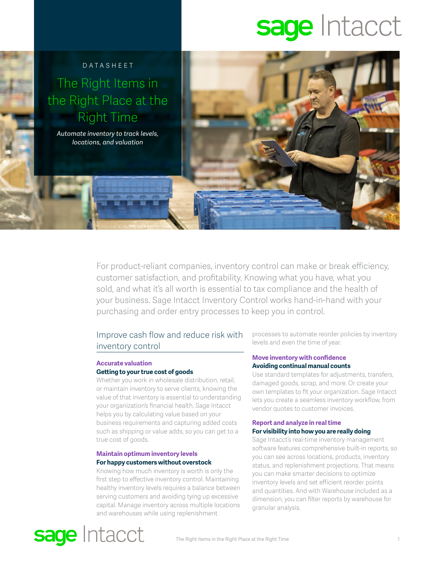# sage Intacct



For product-reliant companies, inventory control can make or break efficiency, customer satisfaction, and profitability. Knowing what you have, what you sold, and what it's all worth is essential to tax compliance and the health of your business. Sage Intacct Inventory Control works hand-in-hand with your purchasing and order entry processes to keep you in control.

## Improve cash flow and reduce risk with inventory control

## **Accurate valuation Getting to your true cost of goods**

Whether you work in wholesale distribution, retail, or maintain inventory to serve clients, knowing the value of that inventory is essential to understanding your organization's financial health. Sage Intacct helps you by calculating value based on your business requirements and capturing added costs such as shipping or value adds, so you can get to a true cost of goods.

## **Maintain optimum inventory levels For happy customers without overstock**

Knowing how much inventory is worth is only the first step to effective inventory control. Maintaining healthy inventory levels requires a balance between serving customers and avoiding tying up excessive capital. Manage inventory across multiple locations and warehouses while using replenishment

processes to automate reorder policies by inventory levels and even the time of year.

#### **Move inventory with confidence Avoiding continual manual counts**

Use standard templates for adjustments, transfers, damaged goods, scrap, and more. Or create your own templates to fit your organization. Sage Intacct lets you create a seamless inventory workflow, from vendor quotes to customer invoices.

### **Report and analyze in real time For visibility into how you are really doing**

Sage Intacct's real-time inventory management software features comprehensive built-in reports, so you can see across locations, products, inventory status, and replenishment projections. That means you can make smarter decisions to optimize inventory levels and set efficient reorder points and quantities. And with Warehouse included as a dimension, you can filter reports by warehouse for granular analysis.